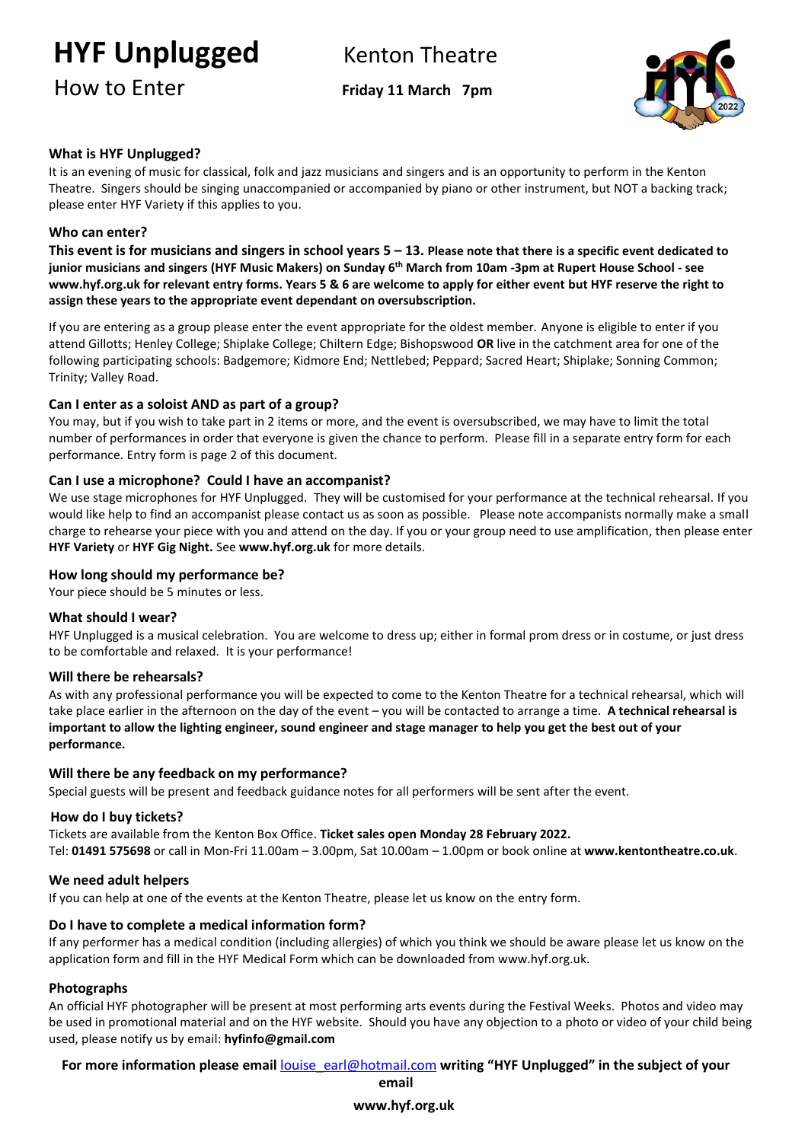## **HYF Unplugged** Kenton Theatre

## How to Enter **Friday <sup>11</sup> March 7pm**



## **What is HYF Unplugged?**

It is an evening of music for classical, folk and jazz musicians and singers and is an opportunity to perform in the Kenton Theatre. Singers should be singing unaccompanied or accompanied by piano or other instrument, but NOT a backing track; please enter HYF Variety if this applies to you.

### **Who can enter?**

**This event is for musicians and singers in school years 5 – 13. Please note that there is a specific event dedicated to junior musicians and singers (HYF Music Makers) on Sunday 6 th March from 10am -3pm at Rupert House School - see [www.hyf.org.uk](http://www.hyf.org.uk/) for relevant entry forms. Years 5 & 6 are welcome to apply for either event but HYF reserve the right to assign these years to the appropriate event dependant on oversubscription.**

If you are entering as a group please enter the event appropriate for the oldest member. Anyone is eligible to enter if you attend Gillotts; Henley College; Shiplake College; Chiltern Edge; Bishopswood **OR** live in the catchment area for one of the following participating schools: Badgemore; Kidmore End; Nettlebed; Peppard; Sacred Heart; Shiplake; Sonning Common; Trinity; Valley Road.

### **Can I enter as a soloist AND as part of a group?**

You may, but if you wish to take part in 2 items or more, and the event is oversubscribed, we may have to limit the total number of performances in order that everyone is given the chance to perform. Please fill in a separate entry form for each performance. Entry form is page 2 of this document.

#### **Can I use a microphone? Could I have an accompanist?**

We use stage microphones for HYF Unplugged. They will be customised for your performance at the technical rehearsal. If you would like help to find an accompanist please contact us as soon as possible. Please note accompanists normally make a small charge to rehearse your piece with you and attend on the day. If you or your group need to use amplification, then please enter **HYF Variety** or **HYF Gig Night.** See **[www.hyf.org.uk](http://www.hyf.org.uk/)** for more details.

#### **How long should my performance be?**

Your piece should be 5 minutes or less.

#### **What should I wear?**

HYF Unplugged is a musical celebration. You are welcome to dress up; either in formal prom dress or in costume, or just dress to be comfortable and relaxed. It is your performance!

#### **Will there be rehearsals?**

As with any professional performance you will be expected to come to the Kenton Theatre for a technical rehearsal, which will take place earlier in the afternoon on the day of the event – you will be contacted to arrange a time. **A technical rehearsal is important to allow the lighting engineer, sound engineer and stage manager to help you get the best out of your performance.** 

### **Will there be any feedback on my performance?**

Special guests will be present and feedback guidance notes for all performers will be sent after the event.

#### **How do I buy tickets?**

Tickets are available from the Kenton Box Office. **Ticket sales open Monday 28 February 2022.** Tel: **01491 575698** or call in Mon-Fri 11.00am – 3.00pm, Sat 10.00am – 1.00pm or book online at **[www.kentontheatre.co.uk](http://www.kentontheatre.co.uk/)**.

### **We need adult helpers**

If you can help at one of the events at the Kenton Theatre, please let us know on th[e entry form.](http://www.hyf.org.uk/media/13759-hyf%20entry%20form%20music%20makers.pdf) 

### **Do I have to complete a medical information form?**

If any performer has a medical condition (including allergies) of which you think we should be aware please let us know on the application form and fill in the HYF Medical Form which can be downloaded from www.hyf.org.uk.

### **Photographs**

An official HYF photographer will be present at most performing arts events during the Festival Weeks. Photos and video may be used in promotional material and on the HYF website. Should you have any objection to a photo or video of your child being used, please notify us by email: **hyfinfo@gmail.com**

**For more information please email** [louise\\_earl@hotmail.com](mailto:louise_earl@hotmail.com) **writing "HYF Unplugged" in the subject of your** 

**[www.hyf.org.uk](http://www.hyf.org.uk/) email**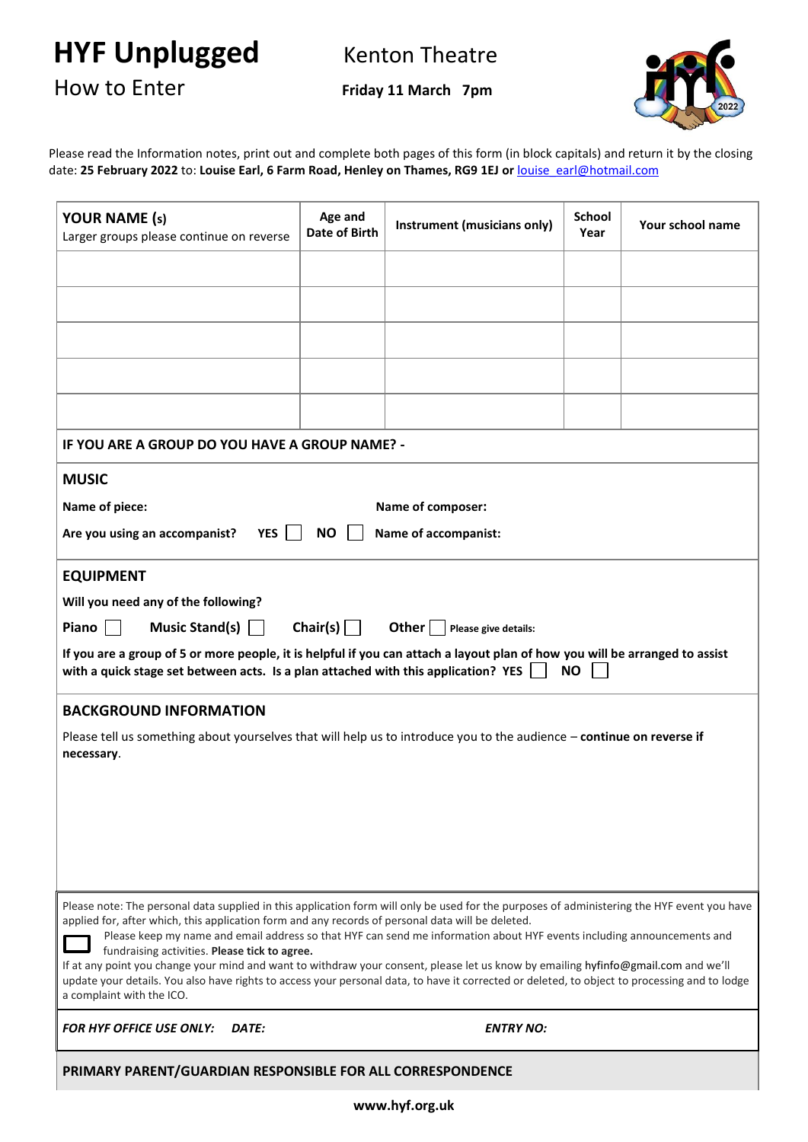**HYF Unplugged** Kenton Theatre

How to Enter **Friday <sup>11</sup> March 7pm**



Please read the Information notes, print out and complete both pages of this form (in block capitals) and return it by the closing date: **25 February 2022** to: **Louise Earl, 6 Farm Road, Henley on Thames, RG9 1EJ or** [louise\\_earl@hotmail.com](mailto:louise_earl@hotmail.com)

| <b>YOUR NAME (s)</b><br>Larger groups please continue on reverse                                                                                                                                                                                                                                                 | Age and<br>Date of Birth | Instrument (musicians only) | <b>School</b><br>Year | Your school name |  |  |
|------------------------------------------------------------------------------------------------------------------------------------------------------------------------------------------------------------------------------------------------------------------------------------------------------------------|--------------------------|-----------------------------|-----------------------|------------------|--|--|
|                                                                                                                                                                                                                                                                                                                  |                          |                             |                       |                  |  |  |
|                                                                                                                                                                                                                                                                                                                  |                          |                             |                       |                  |  |  |
|                                                                                                                                                                                                                                                                                                                  |                          |                             |                       |                  |  |  |
|                                                                                                                                                                                                                                                                                                                  |                          |                             |                       |                  |  |  |
|                                                                                                                                                                                                                                                                                                                  |                          |                             |                       |                  |  |  |
| IF YOU ARE A GROUP DO YOU HAVE A GROUP NAME? -                                                                                                                                                                                                                                                                   |                          |                             |                       |                  |  |  |
| <b>MUSIC</b>                                                                                                                                                                                                                                                                                                     |                          |                             |                       |                  |  |  |
| Name of piece:<br>Name of composer:                                                                                                                                                                                                                                                                              |                          |                             |                       |                  |  |  |
| Are you using an accompanist?<br><b>YES</b><br>NO.<br>Name of accompanist:                                                                                                                                                                                                                                       |                          |                             |                       |                  |  |  |
| <b>EQUIPMENT</b>                                                                                                                                                                                                                                                                                                 |                          |                             |                       |                  |  |  |
| Will you need any of the following?                                                                                                                                                                                                                                                                              |                          |                             |                       |                  |  |  |
| Music Stand(s) $\vert$ $\vert$<br>Chair(s) $\vert$ $\vert$<br>Piano<br>Other $ $  <br>Please give details:                                                                                                                                                                                                       |                          |                             |                       |                  |  |  |
| If you are a group of 5 or more people, it is helpful if you can attach a layout plan of how you will be arranged to assist<br>with a quick stage set between acts. Is a plan attached with this application? YES<br><b>NO</b>                                                                                   |                          |                             |                       |                  |  |  |
| <b>BACKGROUND INFORMATION</b>                                                                                                                                                                                                                                                                                    |                          |                             |                       |                  |  |  |
| Please tell us something about yourselves that will help us to introduce you to the audience - continue on reverse if<br>necessary.                                                                                                                                                                              |                          |                             |                       |                  |  |  |
|                                                                                                                                                                                                                                                                                                                  |                          |                             |                       |                  |  |  |
|                                                                                                                                                                                                                                                                                                                  |                          |                             |                       |                  |  |  |
|                                                                                                                                                                                                                                                                                                                  |                          |                             |                       |                  |  |  |
|                                                                                                                                                                                                                                                                                                                  |                          |                             |                       |                  |  |  |
|                                                                                                                                                                                                                                                                                                                  |                          |                             |                       |                  |  |  |
| Please note: The personal data supplied in this application form will only be used for the purposes of administering the HYF event you have<br>applied for, after which, this application form and any records of personal data will be deleted.                                                                 |                          |                             |                       |                  |  |  |
| Please keep my name and email address so that HYF can send me information about HYF events including announcements and<br>fundraising activities. Please tick to agree.                                                                                                                                          |                          |                             |                       |                  |  |  |
| If at any point you change your mind and want to withdraw your consent, please let us know by emailing hyfinfo@gmail.com and we'll<br>update your details. You also have rights to access your personal data, to have it corrected or deleted, to object to processing and to lodge<br>a complaint with the ICO. |                          |                             |                       |                  |  |  |
| <b>FOR HYF OFFICE USE ONLY:</b><br>DATE:                                                                                                                                                                                                                                                                         |                          | <b>ENTRY NO:</b>            |                       |                  |  |  |
| PRIMARY PARENT/GUARDIAN RESPONSIBLE FOR ALL CORRESPONDENCE                                                                                                                                                                                                                                                       |                          |                             |                       |                  |  |  |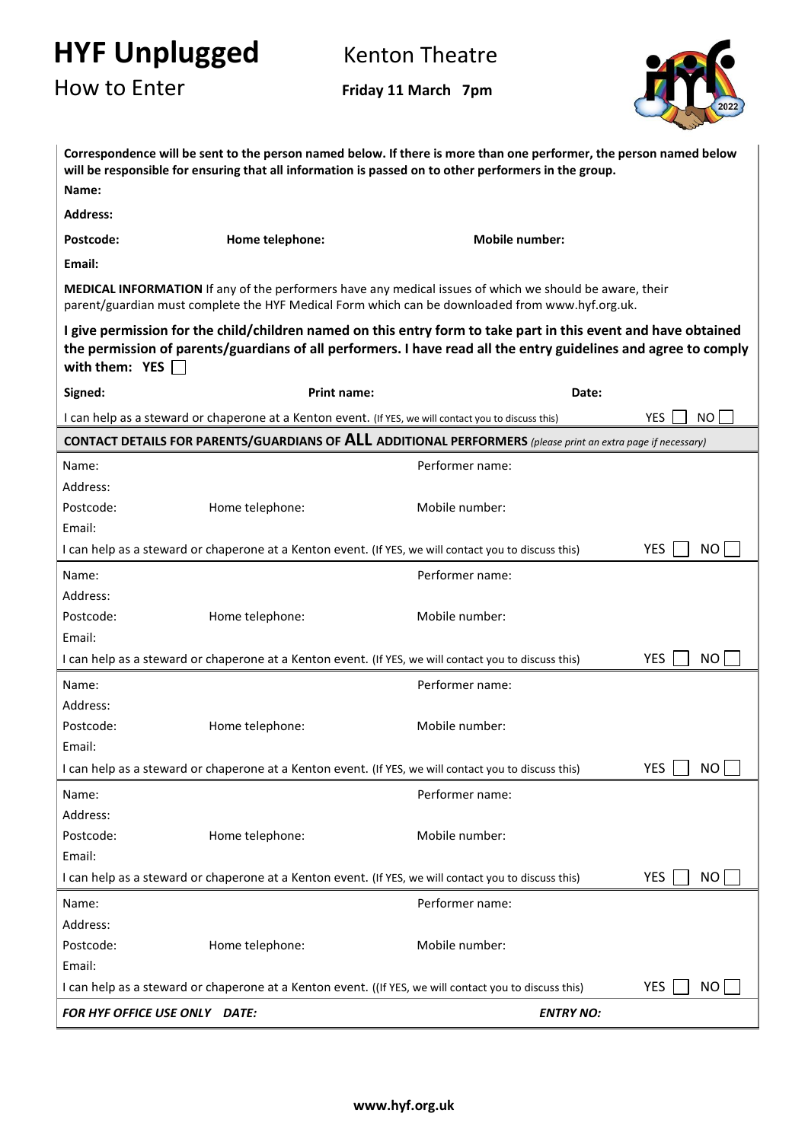# **HYF Unplugged** Kenton Theatre

How to Enter **Friday <sup>11</sup> March 7pm**



| Correspondence will be sent to the person named below. If there is more than one performer, the person named below<br>will be responsible for ensuring that all information is passed on to other performers in the group.                            |                                                                                                       |                       |                         |  |  |
|-------------------------------------------------------------------------------------------------------------------------------------------------------------------------------------------------------------------------------------------------------|-------------------------------------------------------------------------------------------------------|-----------------------|-------------------------|--|--|
| Name:                                                                                                                                                                                                                                                 |                                                                                                       |                       |                         |  |  |
| <b>Address:</b>                                                                                                                                                                                                                                       |                                                                                                       |                       |                         |  |  |
| Postcode:                                                                                                                                                                                                                                             | Home telephone:                                                                                       | <b>Mobile number:</b> |                         |  |  |
| Email:                                                                                                                                                                                                                                                |                                                                                                       |                       |                         |  |  |
| MEDICAL INFORMATION If any of the performers have any medical issues of which we should be aware, their<br>parent/guardian must complete the HYF Medical Form which can be downloaded from www.hyf.org.uk.                                            |                                                                                                       |                       |                         |  |  |
| I give permission for the child/children named on this entry form to take part in this event and have obtained<br>the permission of parents/guardians of all performers. I have read all the entry guidelines and agree to comply<br>with them: $YES$ |                                                                                                       |                       |                         |  |  |
| Signed:                                                                                                                                                                                                                                               | <b>Print name:</b>                                                                                    |                       | Date:                   |  |  |
|                                                                                                                                                                                                                                                       | I can help as a steward or chaperone at a Kenton event. (If YES, we will contact you to discuss this) |                       | <b>YES</b><br>NO.       |  |  |
| <b>CONTACT DETAILS FOR PARENTS/GUARDIANS OF ALL ADDITIONAL PERFORMERS</b> (please print an extra page if necessary)                                                                                                                                   |                                                                                                       |                       |                         |  |  |
| Name:                                                                                                                                                                                                                                                 |                                                                                                       | Performer name:       |                         |  |  |
| Address:                                                                                                                                                                                                                                              |                                                                                                       |                       |                         |  |  |
| Postcode:                                                                                                                                                                                                                                             | Home telephone:                                                                                       | Mobile number:        |                         |  |  |
| Email:                                                                                                                                                                                                                                                |                                                                                                       |                       |                         |  |  |
|                                                                                                                                                                                                                                                       | I can help as a steward or chaperone at a Kenton event. (If YES, we will contact you to discuss this) |                       | <b>YES</b><br><b>NO</b> |  |  |
| Name:                                                                                                                                                                                                                                                 |                                                                                                       | Performer name:       |                         |  |  |
| Address:                                                                                                                                                                                                                                              |                                                                                                       |                       |                         |  |  |
| Postcode:                                                                                                                                                                                                                                             | Home telephone:                                                                                       | Mobile number:        |                         |  |  |
| Email:                                                                                                                                                                                                                                                |                                                                                                       |                       |                         |  |  |
|                                                                                                                                                                                                                                                       | I can help as a steward or chaperone at a Kenton event. (If YES, we will contact you to discuss this) |                       | <b>YES</b><br>NO.       |  |  |
| Name:                                                                                                                                                                                                                                                 |                                                                                                       | Performer name:       |                         |  |  |
| Address:                                                                                                                                                                                                                                              |                                                                                                       |                       |                         |  |  |
| Postcode:                                                                                                                                                                                                                                             | Home telephone:                                                                                       | Mobile number:        |                         |  |  |
| Email:                                                                                                                                                                                                                                                |                                                                                                       |                       |                         |  |  |
|                                                                                                                                                                                                                                                       | I can help as a steward or chaperone at a Kenton event. (If YES, we will contact you to discuss this) |                       | <b>YES</b><br><b>NO</b> |  |  |
| Name:                                                                                                                                                                                                                                                 |                                                                                                       | Performer name:       |                         |  |  |
| Address:                                                                                                                                                                                                                                              |                                                                                                       |                       |                         |  |  |
| Postcode:                                                                                                                                                                                                                                             | Home telephone:                                                                                       | Mobile number:        |                         |  |  |
| Email:                                                                                                                                                                                                                                                |                                                                                                       |                       |                         |  |  |
|                                                                                                                                                                                                                                                       | I can help as a steward or chaperone at a Kenton event. (If YES, we will contact you to discuss this) |                       | <b>YES</b><br>NO        |  |  |
| Name:                                                                                                                                                                                                                                                 |                                                                                                       | Performer name:       |                         |  |  |
| Address:                                                                                                                                                                                                                                              |                                                                                                       |                       |                         |  |  |
| Postcode:                                                                                                                                                                                                                                             | Home telephone:                                                                                       | Mobile number:        |                         |  |  |
| Email:                                                                                                                                                                                                                                                |                                                                                                       |                       |                         |  |  |
| <b>YES</b><br>I can help as a steward or chaperone at a Kenton event. ((If YES, we will contact you to discuss this)<br><b>NO</b>                                                                                                                     |                                                                                                       |                       |                         |  |  |
| FOR HYF OFFICE USE ONLY DATE:                                                                                                                                                                                                                         |                                                                                                       | <b>ENTRY NO:</b>      |                         |  |  |